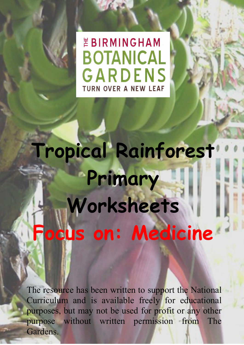*EBIRMINGHAM* **BOTANICAL** GARDENS **TURN OVER A NEW LEAF** 

**Tropical Rainforest Primary Worksheets Focus on: Medicine**

The resource has been written to support the National Curriculum and is available freely for educational purposes, but may not be used for profit or any other purpose without written permission from The Gardens.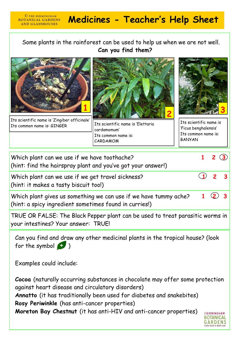## **MEDINAL GARDENS Medicines - Teacher's Help Sheet**

Some plants in the rainforest can be used to help us when we are not well.  **Can you find them?** 



**BOTANICAL GARDENS AND GLASSHOUSES** 

Its scientific name is 'Zingiber officinale' Its common name is: GINGER | Its scientific name is 'Elettaria



cardamomum' Its common name is: CARDAMOM



Its scientific name is 'Ficus benghalensis' Its common name is: **BANYAN** 

| Which plant can we use if we have toothache?<br>(hint: find the hairspray plant and you've got your answer!)               |  |              |  |  |  |
|----------------------------------------------------------------------------------------------------------------------------|--|--------------|--|--|--|
| Which plant can we use if we get travel sickness?<br>(hint: it makes a tasty biscuit too!)                                 |  | $\mathbf{z}$ |  |  |  |
| Which plant gives us something we can use if we have tummy ache?<br>(hint: a spicy ingredient sometimes found in curries!) |  |              |  |  |  |
| TRUE OR FALSE: The Black Pepper plant can be used to treat parasitic worms in<br>your intestines? Your answer: TRUE!       |  |              |  |  |  |
| Can you find and draw any other medicinal plants in the tropical house? (look<br>for the symbol $\bullet$ )                |  |              |  |  |  |
| Examples could include:                                                                                                    |  |              |  |  |  |

**Cocoa** (naturally occurring substances in chocolate may offer some protection against heart disease and circulatory disorders) **Annatto** (it has traditionally been used for diabetes and snakebites) **Rosy Periwinkle** (has anti-cancer properties) **Moreton Bay Chestnut** (it has anti-HIV and anti-cancer properties)